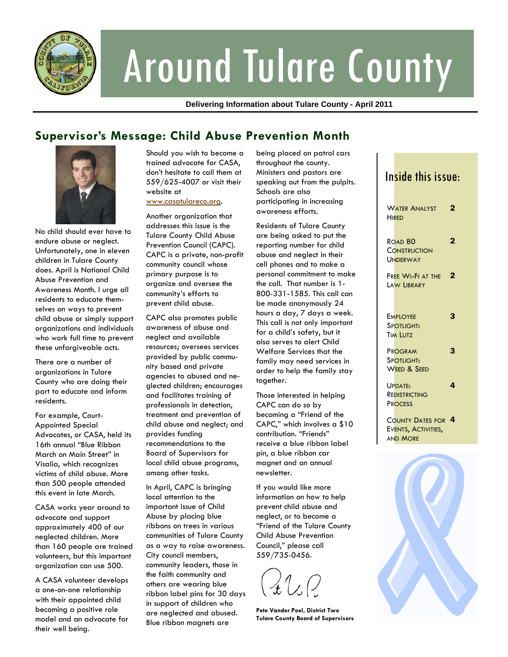

# Around Tulare County

**Delivering Information about Tulare County - April 2011** 

# **Supervisor's Message: Child Abuse Prevention Month**



No child should ever have to endure abuse or neglect. Unfortunately, one in eleven children in Tulare County does. April is National Child Abuse Prevention and Awareness Month. I urge all residents to educate themselves on ways to prevent child abuse or simply support organizations and individuals who work full time to prevent these unforgiveable acts.

There are a number of organizations in Tulare County who are doing their part to educate and inform residents.

For example, Court-Appointed Special Advocates, or CASA, held its 16th annual "Blue Ribbon March on Main Street" in Visalia, which recognizes victims of child abuse. More than 500 people attended this event in late March.

CASA works year around to advocate and support approximately 400 of our neglected children. More than 160 people are trained volunteers, but this important organization can use 500.

A CASA volunteer develops a one-on-one relationship with their appointed child becoming a positive role model and an advocate for their well being.

Should you wish to become a trained advocate for CASA, don't hesitate to call them at 559/625-4007 or visit their website at

www.casatulareco.org.

Another organization that addresses this issue is the Tulare County Child Abuse Prevention Council (CAPC). CAPC is a private, non-profit community council whose primary purpose is to organize and oversee the community's efforts to prevent child abuse.

CAPC also promotes public awareness of abuse and neglect and available resources; oversees services provided by public community based and private agencies to abused and neglected children; encourages and facilitates training of professionals in detection, treatment and prevention of child abuse and neglect; and provides funding recommendations to the Board of Supervisors for local child abuse programs, among other tasks.

In April, CAPC is bringing local attention to the important issue of Child Abuse by placing blue ribbons on trees in various communities of Tulare County as a way to raise awareness. City council members, community leaders, those in the faith community and others are wearing blue ribbon label pins for 30 days in support of children who are neglected and abused. Blue ribbon magnets are

being placed on patrol cars throughout the county. Ministers and pastors are speaking out from the pulpits. Schools are also participating in increasing awareness efforts.

Residents of Tulare County are being asked to put the reporting number for child abuse and neglect in their cell phones and to make a personal commitment to make the call. That number is 1- 800-331-1585. This call can be made anonymously 24 hours a day, 7 days a week. This call is not only important for a child's safety, but it also serves to alert Child Welfare Services that the family may need services in order to help the family stay together.

Those interested in helping CAPC can do so by becoming a "Friend of the CAPC," which involves a \$10 contribution. "Friends" receive a blue ribbon label pin, a blue ribbon car magnet and an annual newsletter.

If you would like more information on how to help prevent child abuse and neglect, or to become a "Friend of the Tulare County Child Abuse Prevention Council," please call 559/735-0456.

**Pete Vander Poel, District Two Tulare County Board of Supervisors** 

| Inside this issue:                                                |                |
|-------------------------------------------------------------------|----------------|
| <b>WATER ANALYST</b><br><b>HIRFD</b>                              | 2              |
| ROAD <sub>80</sub><br><b>CONSTRUCTION</b><br><b>UNDERWAY</b>      | 2              |
| FREE WI-FI AT THE<br>LAW LIBRARY                                  | $\overline{2}$ |
| <b>EMPLOYEE</b><br>SPOTLIGHT:<br><b>TIM LUTZ</b>                  | 3              |
| PROGRAM<br>Spotlight:<br>WEED & SEED                              | 3              |
| UPDATE:<br>REDISTRICTING<br><b>PROCESS</b>                        | 4              |
| <b>COUNTY DATES FOR</b><br>EVENTS, ACTIVITIES,<br><b>AND MORE</b> | $\overline{a}$ |
|                                                                   |                |

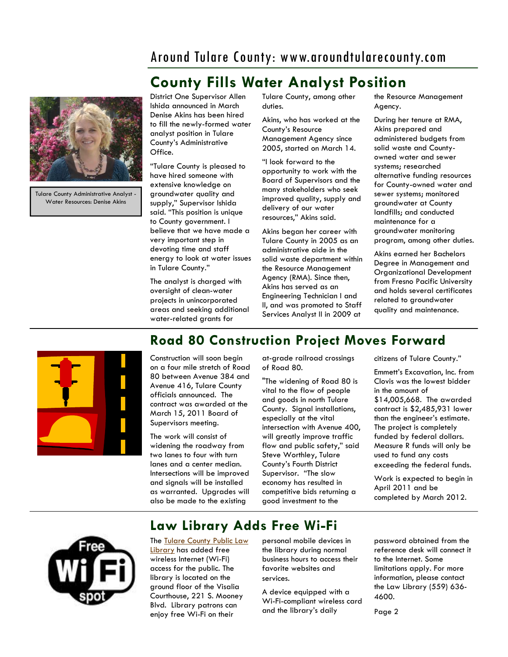## Around Tulare County: www.aroundtularecounty.com

# **County Fills Water Analyst Position**



Tulare County Administrative Analyst - Water Resources: Denise Akins

District One Supervisor Allen Ishida announced in March Denise Akins has been hired to fill the newly-formed water analyst position in Tulare County's Administrative Office.

"Tulare County is pleased to have hired someone with extensive knowledge on groundwater quality and supply," Supervisor Ishida said. "This position is unique to County government. I believe that we have made a very important step in devoting time and staff energy to look at water issues in Tulare County."

The analyst is charged with oversight of clean-water projects in unincorporated areas and seeking additional water-related grants for

Tulare County, among other duties.

Akins, who has worked at the County's Resource Management Agency since 2005, started on March 14.

"I look forward to the opportunity to work with the Board of Supervisors and the many stakeholders who seek improved quality, supply and delivery of our water resources," Akins said.

Akins began her career with Tulare County in 2005 as an administrative aide in the solid waste department within the Resource Management Agency (RMA). Since then, Akins has served as an Engineering Technician I and II, and was promoted to Staff Services Analyst II in 2009 at

the Resource Management Agency.

During her tenure at RMA, Akins prepared and administered budgets from solid waste and Countyowned water and sewer systems; researched alternative funding resources for County-owned water and sewer systems; monitored groundwater at County landfills; and conducted maintenance for a groundwater monitoring program, among other duties.

Akins earned her Bachelors Degree in Management and Organizational Development from Fresno Pacific University and holds several certificates related to groundwater quality and maintenance.



# **Road 80 Construction Project Moves Forward**

Construction will soon begin on a four mile stretch of Road 80 between Avenue 384 and Avenue 416, Tulare County officials announced. The contract was awarded at the March 15, 2011 Board of Supervisors meeting.

The work will consist of widening the roadway from two lanes to four with turn lanes and a center median. Intersections will be improved and signals will be installed as warranted. Upgrades will also be made to the existing

at-grade railroad crossings of Road 80.

"The widening of Road 80 is vital to the flow of people and goods in north Tulare County. Signal installations, especially at the vital intersection with Avenue 400, will greatly improve traffic flow and public safety," said Steve Worthley, Tulare County's Fourth District Supervisor. "The slow economy has resulted in competitive bids returning a good investment to the

citizens of Tulare County."

Emmett's Excavation, Inc. from Clovis was the lowest bidder in the amount of \$14,005,668. The awarded contract is \$2,485,931 lower than the engineer's estimate. The project is completely funded by federal dollars. Measure R funds will only be used to fund any costs exceeding the federal funds.

Work is expected to begin in April 2011 and be completed by March 2012.



## **Law Library Adds Free Wi-Fi**

The Tulare County Public Law Library has added free wireless Internet (Wi-Fi) access for the public. The library is located on the ground floor of the Visalia Courthouse, 221 S. Mooney Blvd. Library patrons can enjoy free Wi-Fi on their

personal mobile devices in the library during normal business hours to access their favorite websites and services.

A device equipped with a Wi-Fi-compliant wireless card and the library's daily

password obtained from the reference desk will connect it to the Internet. Some limitations apply. For more information, please contact the Law Library (559) 636- 4600.

Page 2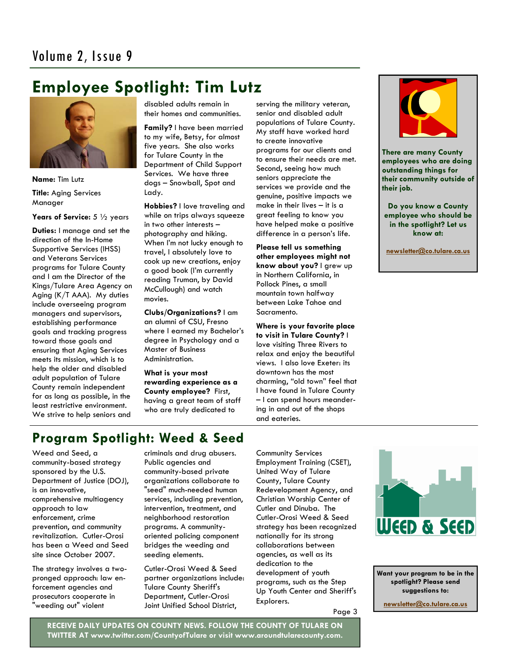# **Employee Spotlight: Tim Lutz**



**Name:** Tim Lutz **Title:** Aging Services Manager

**Years of Service:** 5 ½ years

**Duties:** I manage and set the direction of the In-Home Supportive Services (IHSS) and Veterans Services programs for Tulare County and I am the Director of the Kings/Tulare Area Agency on Aging (K/T AAA). My duties include overseeing program managers and supervisors, establishing performance goals and tracking progress toward those goals and ensuring that Aging Services meets its mission, which is to help the older and disabled adult population of Tulare County remain independent for as long as possible, in the least restrictive environment. We strive to help seniors and

disabled adults remain in their homes and communities.

**Family?** I have been married to my wife, Betsy, for almost five years. She also works for Tulare County in the Department of Child Support Services. We have three dogs – Snowball, Spot and Lady.

**Hobbies?** I love traveling and while on trips always squeeze in two other interests – photography and hiking. When I'm not lucky enough to travel, I absolutely love to cook up new creations, enjoy a good book (I'm currently reading Truman, by David McCullough) and watch movies.

**Clubs/Organizations?** I am an alumni of CSU, Fresno where I earned my Bachelor's degree in Psychology and a Master of Business Administration.

**What is your most rewarding experience as a County employee?** First, having a great team of staff who are truly dedicated to

serving the military veteran, senior and disabled adult populations of Tulare County. My staff have worked hard to create innovative programs for our clients and to ensure their needs are met. Second, seeing how much seniors appreciate the services we provide and the genuine, positive impacts we make in their lives – it is a great feeling to know you have helped make a positive difference in a person's life.

**Please tell us something other employees might not know about you?** I grew up in Northern California, in Pollock Pines, a small mountain town halfway between Lake Tahoe and Sacramento.

**Where is your favorite place to visit in Tulare County?** I love visiting Three Rivers to relax and enjoy the beautiful views. I also love Exeter: its downtown has the most charming, "old town" feel that I have found in Tulare County – I can spend hours meandering in and out of the shops and eateries.



**There are many County employees who are doing outstanding things for their community outside of their job.** 

**Do you know a County employee who should be in the spotlight? Let us know at:** 

**newsletter@co.tulare.ca.us**

# **Program Spotlight: Weed & Seed**

Weed and Seed, a community-based strategy sponsored by the U.S. Department of Justice (DOJ), is an innovative, comprehensive multiagency approach to law enforcement, crime prevention, and community revitalization. Cutler-Orosi has been a Weed and Seed site since October 2007.

The strategy involves a twopronged approach: law enforcement agencies and prosecutors cooperate in "weeding out" violent

criminals and drug abusers. Public agencies and community-based private organizations collaborate to "seed" much-needed human services, including prevention, intervention, treatment, and neighborhood restoration programs. A communityoriented policing component bridges the weeding and seeding elements.

Cutler-Orosi Weed & Seed partner organizations include: Tulare County Sheriff's Department, Cutler-Orosi Joint Unified School District,

Community Services Employment Training (CSET), United Way of Tulare County, Tulare County Redevelopment Agency, and Christian Worship Center of Cutler and Dinuba. The Cutler-Orosi Weed & Seed strategy has been recognized nationally for its strong collaborations between agencies, as well as its dedication to the development of youth programs, such as the Step Up Youth Center and Sheriff's Explorers.

Page 3



**Want your program to be in the spotlight? Please send suggestions to:** 

**newsletter@co.tulare.ca.us**

**RECEIVE DAILY UPDATES ON COUNTY NEWS. FOLLOW THE COUNTY OF TULARE ON TWITTER AT www.twitter.com/CountyofTulare or visit www.aroundtularecounty.com.**